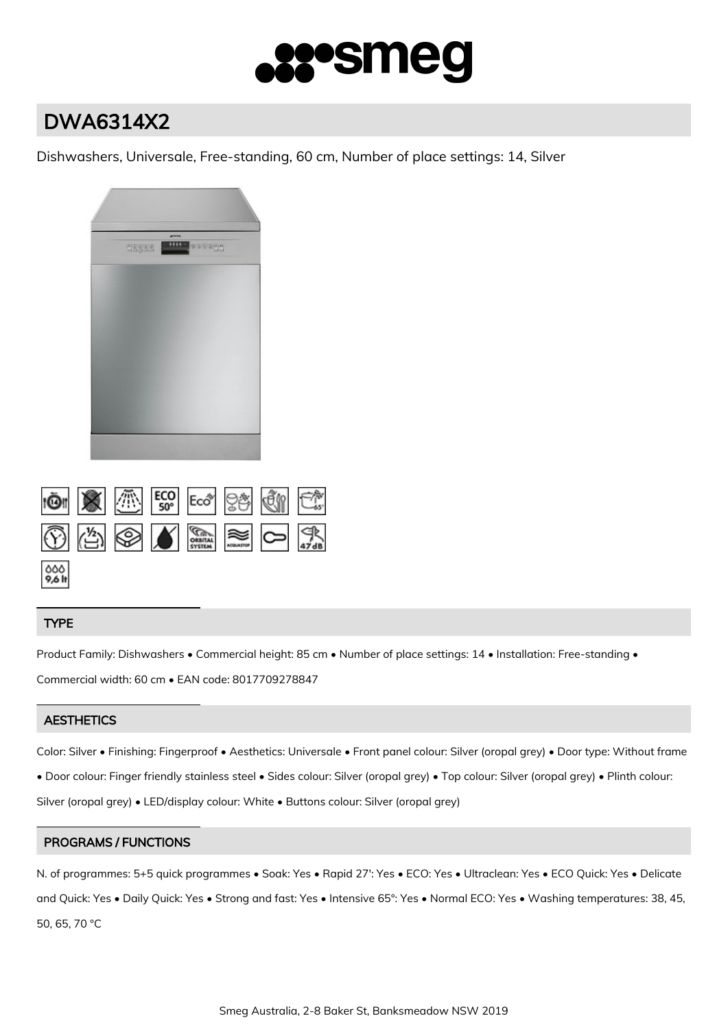

# DWA6314X2

Dishwashers, Universale, Free-standing, 60 cm, Number of place settings: 14, Silver



|                 |  |  | $\circledS$ $\circledS$ $\bullet$ $\mathbb{R}$ $\approx$ $\circledR$ |  |
|-----------------|--|--|----------------------------------------------------------------------|--|
| $000$<br>9,6 lt |  |  |                                                                      |  |

# TYPE

Product Family: Dishwashers • Commercial height: 85 cm • Number of place settings: 14 • Installation: Free-standing • Commercial width: 60 cm • EAN code: 8017709278847

# **AESTHETICS**

Color: Silver • Finishing: Fingerproof • Aesthetics: Universale • Front panel colour: Silver (oropal grey) • Door type: Without frame

• Door colour: Finger friendly stainless steel • Sides colour: Silver (oropal grey) • Top colour: Silver (oropal grey) • Plinth colour:

Silver (oropal grey) • LED/display colour: White • Buttons colour: Silver (oropal grey)

# PROGRAMS / FUNCTIONS

N. of programmes: 5+5 quick programmes • Soak: Yes • Rapid 27': Yes • ECO: Yes • Ultraclean: Yes • ECO Quick: Yes • Delicate and Quick: Yes • Daily Quick: Yes • Strong and fast: Yes • Intensive 65°: Yes • Normal ECO: Yes • Washing temperatures: 38, 45, 50, 65, 70 °C